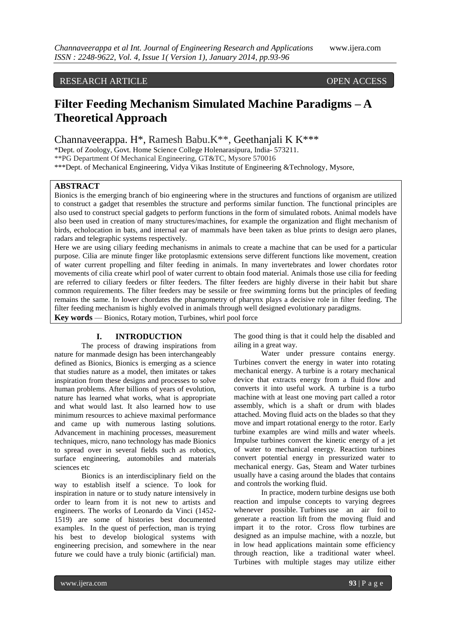## RESEARCH ARTICLE OPEN ACCESS

# **Filter Feeding Mechanism Simulated Machine Paradigms – A Theoretical Approach**

Channaveerappa. H\*, Ramesh Babu.K\*\*, Geethanjali K K\*\*\*

\*Dept. of Zoology, Govt. Home Science College Holenarasipura, India- 573211.

\*\*PG Department Of Mechanical Engineering, GT&TC, Mysore 570016

\*\*\*Dept. of Mechanical Engineering, Vidya Vikas Institute of Engineering &Technology, Mysore,

## **ABSTRACT**

Bionics is the emerging branch of bio engineering where in the structures and functions of organism are utilized to construct a gadget that resembles the structure and performs similar function. The functional principles are also used to construct special gadgets to perform functions in the form of simulated robots. Animal models have also been used in creation of many structures/machines, for example the organization and flight mechanism of birds, echolocation in bats, and internal ear of mammals have been taken as blue prints to design aero planes, radars and telegraphic systems respectively.

Here we are using ciliary feeding mechanisms in animals to create a machine that can be used for a particular purpose. Cilia are minute finger like protoplasmic extensions serve different functions like movement, creation of water current propelling and filter feeding in animals. In many invertebrates and lower chordates rotor movements of cilia create whirl pool of water current to obtain food material. Animals those use cilia for feeding are referred to ciliary feeders or filter feeders. The filter feeders are highly diverse in their habit but share common requirements. The filter feeders may be sessile or free swimming forms but the principles of feeding remains the same. In lower chordates the pharngometry of pharynx plays a decisive role in filter feeding. The filter feeding mechanism is highly evolved in animals through well designed evolutionary paradigms.

**Key words** — Bionics, Rotary motion, Turbines, whirl pool force

## **I. INTRODUCTION**

The process of drawing inspirations from nature for manmade design has been interchangeably defined as Bionics, Bionics is emerging as a science that studies nature as a model, then imitates or takes inspiration from these designs and processes to solve human problems. After billions of years of evolution, nature has learned what works, what is appropriate and what would last. It also learned how to use minimum resources to achieve maximal performance and came up with numerous lasting solutions. Advancement in machining processes, measurement techniques, micro, nano technology has made Bionics to spread over in several fields such as robotics, surface engineering, automobiles and materials sciences etc

Bionics is an interdisciplinary field on the way to establish itself a science. To look for inspiration in nature or to study nature intensively in order to learn from it is not new to artists and engineers. The works of Leonardo da Vinci (1452- 1519) are some of histories best documented examples. In the quest of perfection, man is trying his best to develop biological systems with engineering precision, and somewhere in the near future we could have a truly bionic (artificial) man.

The good thing is that it could help the disabled and ailing in a great way.

Water under pressure contains energy. Turbines convert the energy in water into rotating mechanical energy. A turbine is a rotary mechanical device that extracts energy from a fluid flow and converts it into useful work. A turbine is a turbo machine with at least one moving part called a rotor assembly, which is a shaft or drum with blades attached. Moving fluid acts on the blades so that they move and impart rotational energy to the rotor. Early turbine examples are wind mills and water wheels. Impulse turbines convert the kinetic energy of a jet of water to mechanical energy. Reaction turbines convert potential energy in pressurized water to mechanical energy. Gas, Steam and Water turbines usually have a casing around the blades that contains and controls the working fluid.

In practice, modern turbine designs use both reaction and impulse concepts to varying degrees whenever possible. Turbines use an air foil to generate a reaction lift from the moving fluid and impart it to the rotor. Cross flow turbines are designed as an impulse machine, with a nozzle, but in low head applications maintain some efficiency through reaction, like a traditional water wheel. Turbines with multiple stages may utilize either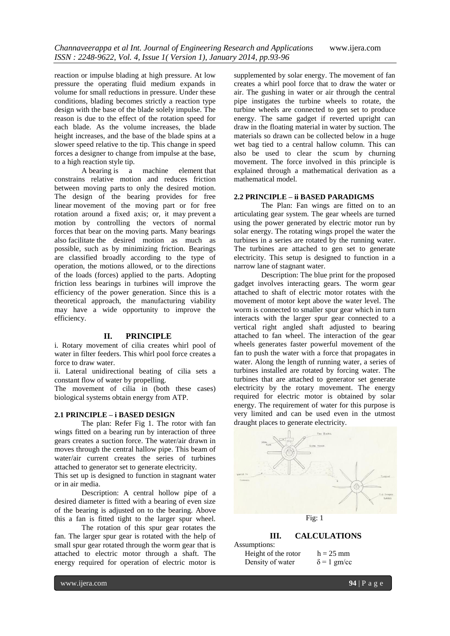reaction or impulse blading at high pressure. At low pressure the operating fluid medium expands in volume for small reductions in pressure. Under these conditions, blading becomes strictly a reaction type design with the base of the blade solely impulse. The reason is due to the effect of the rotation speed for each blade. As the volume increases, the blade height increases, and the base of the blade spins at a slower speed relative to the tip. This change in speed forces a designer to change from impulse at the base, to a high reaction style tip.

A bearing is a machine element that constrains relative motion and reduces friction between moving parts to only the desired motion. The design of the bearing provides for free linear movement of the moving part or for free rotation around a fixed axis; or, it may prevent a motion by controlling the vectors of normal forces that bear on the moving parts. Many bearings also facilitate the desired motion as much as possible, such as by minimizing friction. Bearings are classified broadly according to the type of operation, the motions allowed, or to the directions of the loads (forces) applied to the parts. Adopting friction less bearings in turbines will improve the efficiency of the power generation. Since this is a theoretical approach, the manufacturing viability may have a wide opportunity to improve the efficiency.

#### **II. PRINCIPLE**

i. Rotary movement of cilia creates whirl pool of water in filter feeders. This whirl pool force creates a force to draw water.

ii. Lateral unidirectional beating of cilia sets a constant flow of water by propelling.

The movement of cilia in (both these cases) biological systems obtain energy from ATP.

#### **2.1 PRINCIPLE – i BASED DESIGN**

The plan: Refer Fig 1. The rotor with fan wings fitted on a bearing run by interaction of three gears creates a suction force. The water/air drawn in moves through the central hallow pipe. This beam of water/air current creates the series of turbines attached to generator set to generate electricity.

This set up is designed to function in stagnant water or in air media.

Description: A central hollow pipe of a desired diameter is fitted with a bearing of even size of the bearing is adjusted on to the bearing. Above this a fan is fitted tight to the larger spur wheel.

The rotation of this spur gear rotates the fan. The larger spur gear is rotated with the help of small spur gear rotated through the worm gear that is attached to electric motor through a shaft. The energy required for operation of electric motor is

supplemented by solar energy. The movement of fan creates a whirl pool force that to draw the water or air. The gushing in water or air through the central pipe instigates the turbine wheels to rotate, the turbine wheels are connected to gen set to produce energy. The same gadget if reverted upright can draw in the floating material in water by suction. The materials so drawn can be collected below in a huge wet bag tied to a central hallow column. This can also be used to clear the scum by churning movement. The force involved in this principle is explained through a mathematical derivation as a mathematical model.

#### **2.2 PRINCIPLE – ii BASED PARADIGMS**

The Plan: Fan wings are fitted on to an articulating gear system. The gear wheels are turned using the power generated by electric motor run by solar energy. The rotating wings propel the water the turbines in a series are rotated by the running water. The turbines are attached to gen set to generate electricity. This setup is designed to function in a narrow lane of stagnant water.

Description: The blue print for the proposed gadget involves interacting gears. The worm gear attached to shaft of electric motor rotates with the movement of motor kept above the water level. The worm is connected to smaller spur gear which in turn interacts with the larger spur gear connected to a vertical right angled shaft adjusted to bearing attached to fan wheel. The interaction of the gear wheels generates faster powerful movement of the fan to push the water with a force that propagates in water. Along the length of running water, a series of turbines installed are rotated by forcing water. The turbines that are attached to generator set generate electricity by the rotary movement. The energy required for electric motor is obtained by solar energy. The requirement of water for this purpose is very limited and can be used even in the utmost draught places to generate electricity.



## **III. CALCULATIONS**

Assumptions: Height of the rotor  $h = 25$  mm Density of water  $\delta = 1$  gm/cc

www.ijera.com **94** | P a g e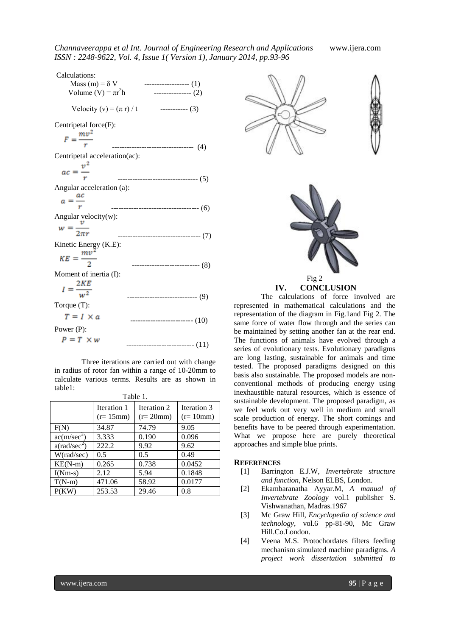| Calculations:<br>Mass (m) = $\delta$ V<br>Volume (V) = $\pi r^2 h$ | ------------------ (1)<br>--------------- (2) |
|--------------------------------------------------------------------|-----------------------------------------------|
| Velocity (v) = $(\pi r)/t$                                         | $------(3)$                                   |
| Centripetal force $(F)$ :<br>$F = \frac{mv^2}{r}$                  | ---------------------------(4)                |
| Centripetal acceleration(ac):<br>$ac = \frac{v^2}{r}$              | ---------------------------------- (5)        |
| Angular acceleration (a):<br>$a=\frac{ac}{a}$                      | ------------------------------------- (6)     |
| Angular velocity(w):<br>$w = \frac{v}{2\pi r}$                     | ----------------------------------- (7)       |
| Kinetic Energy (K.E):<br>$KE = \frac{mv^2}{2}$                     |                                               |
| Moment of inertia (I):                                             | --------------------------- (8)               |
| $I = \frac{2KE}{w^2}$<br>Torque $(T)$ :                            | --------------------------- (9)               |
| $T = I \times a$<br>Power $(P)$ :                                  | $\cdots$ (10)                                 |
| $P = T \times w$                                                   | ------------------- (11)                      |

Three iterations are carried out with change in radius of rotor fan within a range of 10-20mm to calculate various terms. Results are as shown in table1:

|                         | Iteration 1<br>$(r=15$ mm $)$ | Iteration 2<br>$(r=20mm)$ | Iteration 3<br>$(r=10mm)$ |
|-------------------------|-------------------------------|---------------------------|---------------------------|
| F(N)                    | 34.87                         | 74.79                     | 9.05                      |
| ac(m/sec <sup>2</sup> ) | 3.333                         | 0.190                     | 0.096                     |
| $a(\text{rad/sec}^2)$   | 222.2                         | 9.92                      | 9.62                      |
| W(rad/sec)              | $0.5^{\circ}$                 | 0.5                       | 0.49                      |
| $KE(N-m)$               | 0.265                         | 0.738                     | 0.0452                    |
| $I(Nm-s)$               | 2.12                          | 5.94                      | 0.1848                    |
| $T(N-m)$                | 471.06                        | 58.92                     | 0.0177                    |
| P(KW)                   | 253.53                        | 29.46                     | 0.8                       |

| æ<br>яΓ<br>١<br>۰.<br>× |
|-------------------------|
|-------------------------|





**IV. CONCLUSION**

The calculations of force involved are represented in mathematical calculations and the representation of the diagram in Fig.1and Fig 2. The same force of water flow through and the series can be maintained by setting another fan at the rear end. The functions of animals have evolved through a series of evolutionary tests. Evolutionary paradigms are long lasting, sustainable for animals and time tested. The proposed paradigms designed on this basis also sustainable. The proposed models are nonconventional methods of producing energy using inexhaustible natural resources, which is essence of sustainable development. The proposed paradigm, as we feel work out very well in medium and small scale production of energy. The short comings and benefits have to be peered through experimentation. What we propose here are purely theoretical approaches and simple blue prints.

## **REFERENCES**

- [1] Barrington E.J.W, *Invertebrate structure and function*, Nelson ELBS, London.
- [2] Ekambaranatha Ayyar.M, *A manual of Invertebrate Zoology* vol.1 publisher S. Vishwanathan, Madras.1967
- [3] Mc Graw Hill, *Encyclopedia of science and technology*, vol.6 pp-81-90, Mc Graw Hill.Co.London.
- [4] Veena M.S. Protochordates filters feeding mechanism simulated machine paradigms. *A project work dissertation submitted to*